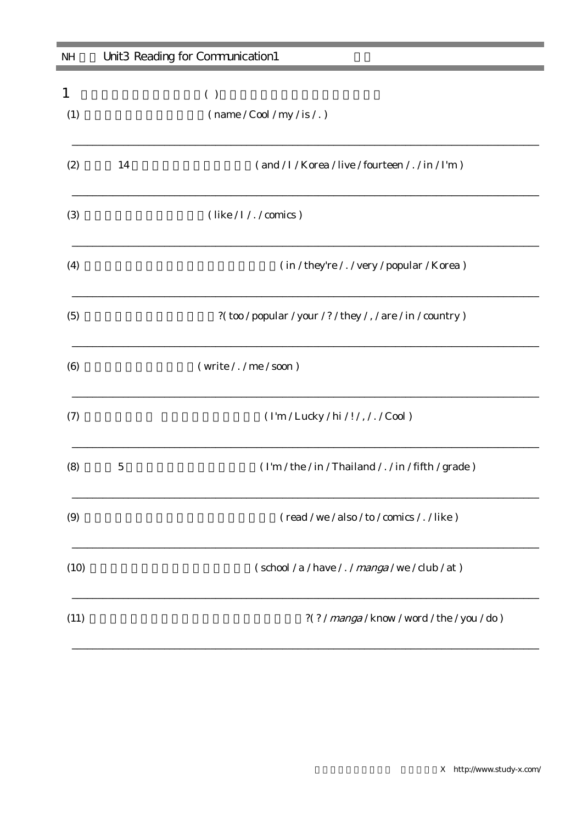| <b>NH</b> | Unit3 Reading for Communication1 |                                                                   |
|-----------|----------------------------------|-------------------------------------------------------------------|
| 1<br>(1)  |                                  | ( )<br>$(\text{name} / \text{Cool} / \text{my} / \text{is} / . )$ |
| (2)       | 14                               | (and / I / Korea / live / fourteen / . / in / I'm )               |
| (3)       |                                  | (like / I / . / comics)                                           |
| (4)       |                                  | (in / they're / . / very / popular / Korea)                       |
| (5)       |                                  | ?(too / popular / your / ? / they / , / are / in / country )      |
| (6)       |                                  | (write / . / me / soon)                                           |
| (7)       |                                  | (I'm / Lucky / hi / ! / , / . / Cool )                            |
| (8)       | $\bf 5$                          | (I'm / the / in / Thailand / . / in / fifth / grade )             |
| (9)       |                                  | (read / we / also / to / comics / . / like )                      |
| (10)      |                                  | (school / a / have / . / manga / we / club / at )                 |
| (11)      |                                  | ?(?/manga/know/word/the/you/do)                                   |